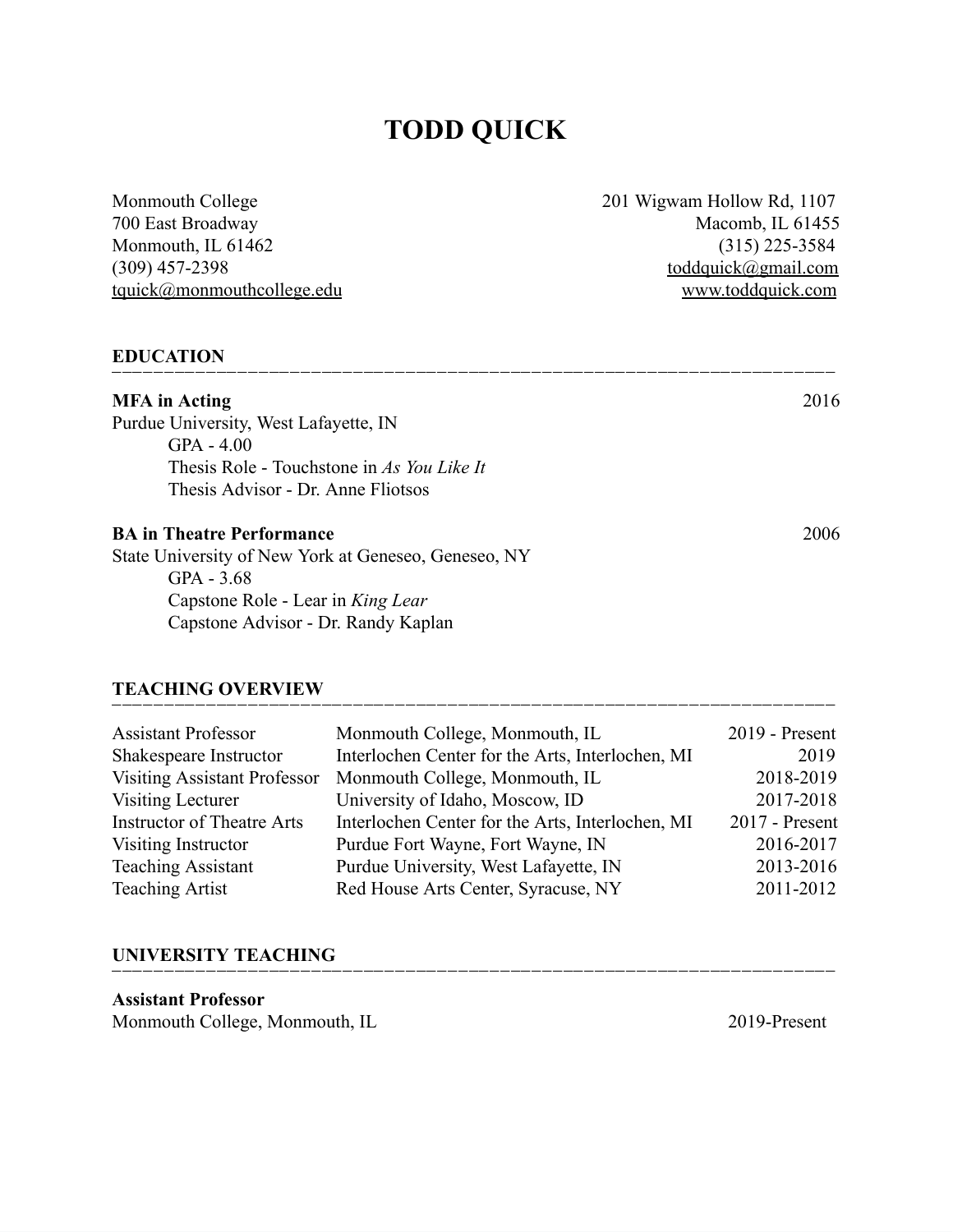# **TODD QUICK**

Monmouth College 201 Wigwam Hollow Rd, 1107  $t$ quick@monmouthcollege.edu

700 East Broadway Macomb, IL 61455 Monmouth, IL 61462 (315) 225-3584<br>(309) 457-2398 (309) 657-2398 [toddquick@gmail.com](mailto:toddquick@gmail.com)<br>www.toddquick.com

#### **EDUCATION**

| <b>MFA</b> in Acting                                 | 2016 |
|------------------------------------------------------|------|
| Purdue University, West Lafayette, IN                |      |
| $GPA - 4.00$                                         |      |
| Thesis Role - Touchstone in As You Like It           |      |
| Thesis Advisor - Dr. Anne Fliotsos                   |      |
| <b>BA in Theatre Performance</b>                     | 2006 |
| State University of New York at Geneseo, Geneseo, NY |      |
| GPA $-3.68$                                          |      |
| Capstone Role - Lear in King Lear                    |      |
| Capstone Advisor - Dr. Randy Kaplan                  |      |
|                                                      |      |

#### **TEACHING OVERVIEW**

| Monmouth College, Monmouth, IL                   | 2019 - Present                      |
|--------------------------------------------------|-------------------------------------|
| Interlochen Center for the Arts, Interlochen, MI | 2019                                |
| Monmouth College, Monmouth, IL                   | 2018-2019                           |
| University of Idaho, Moscow, ID                  | 2017-2018                           |
| Interlochen Center for the Arts, Interlochen, MI | $2017$ - Present                    |
| Purdue Fort Wayne, Fort Wayne, IN                | 2016-2017                           |
| Purdue University, West Lafayette, IN            | 2013-2016                           |
| Red House Arts Center, Syracuse, NY              | 2011-2012                           |
|                                                  | <b>Visiting Assistant Professor</b> |

⎺⎺⎺⎺⎺⎺⎺⎺⎺⎺⎺⎺⎺⎺⎺⎺⎺⎺⎺⎺⎺⎺⎺⎺⎺⎺⎺⎺⎺⎺⎺⎺⎺⎺⎺⎺⎺⎺⎺⎺⎺⎺⎺⎺⎺⎺⎺⎺⎺⎺⎺⎺⎺⎺⎺⎺⎺⎺⎺⎺⎺⎺⎺⎺⎺⎺⎺⎺⎺

#### **UNIVERSITY TEACHING**

**Assistant Professor** Monmouth College, Monmouth, IL 2019-Present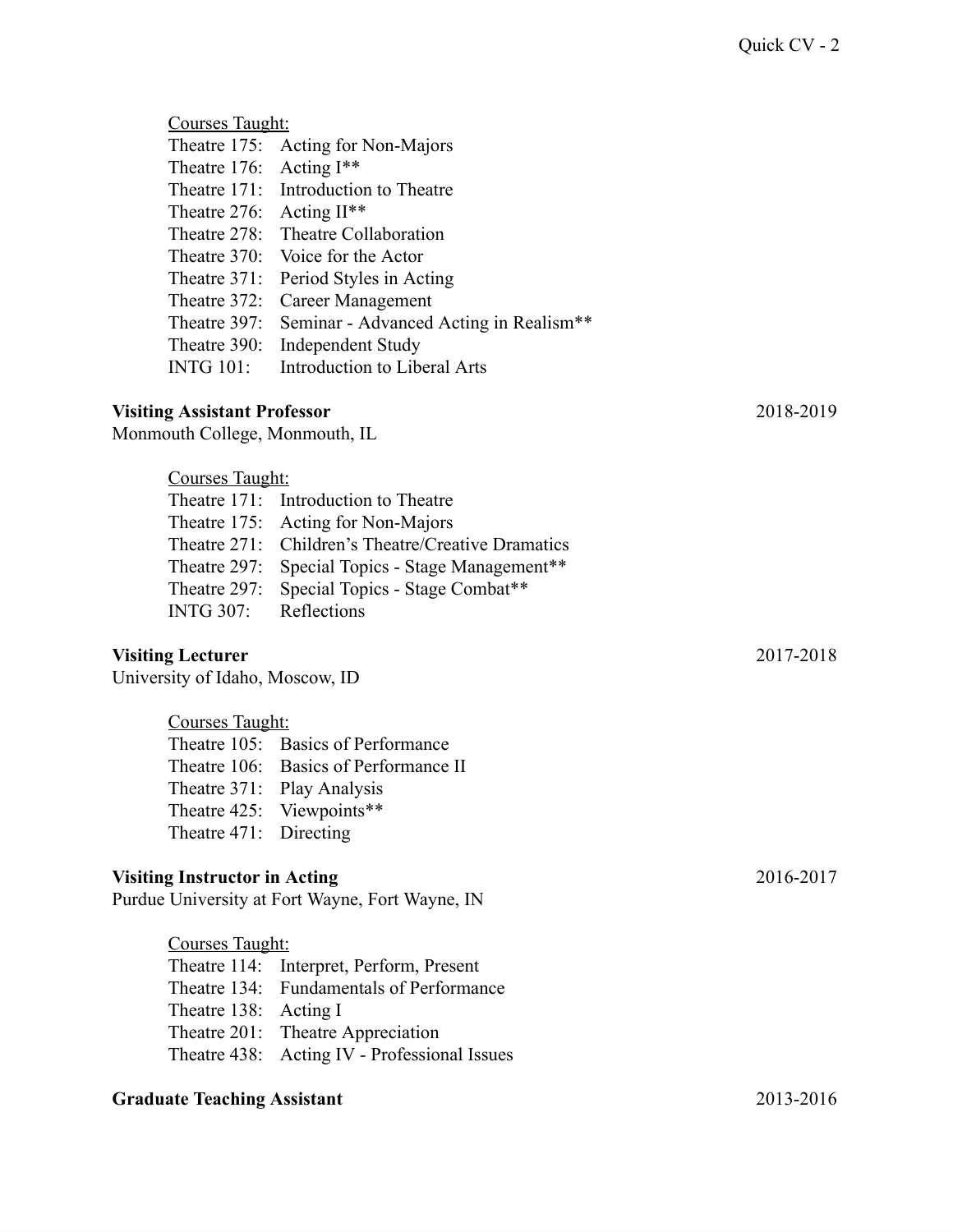| Courses Taught:                      |                                                    |           |
|--------------------------------------|----------------------------------------------------|-----------|
| Theatre 175:                         | Acting for Non-Majors                              |           |
| Theatre 176:                         | Acting $I^{**}$                                    |           |
|                                      | Theatre 171: Introduction to Theatre               |           |
| Theatre 276:                         | Acting II**                                        |           |
|                                      | Theatre 278: Theatre Collaboration                 |           |
| Theatre 370:                         | Voice for the Actor                                |           |
| Theatre 371:                         | Period Styles in Acting                            |           |
|                                      | Theatre 372: Career Management                     |           |
| Theatre 397:                         | Seminar - Advanced Acting in Realism**             |           |
| Theatre 390:                         | <b>Independent Study</b>                           |           |
| <b>INTG 101:</b>                     | Introduction to Liberal Arts                       |           |
|                                      |                                                    |           |
| <b>Visiting Assistant Professor</b>  |                                                    | 2018-2019 |
| Monmouth College, Monmouth, IL       |                                                    |           |
| Courses Taught:                      |                                                    |           |
|                                      | Theatre 171: Introduction to Theatre               |           |
| Theatre 175:                         | Acting for Non-Majors                              |           |
|                                      | Theatre 271: Children's Theatre/Creative Dramatics |           |
| Theatre 297:                         | Special Topics - Stage Management**                |           |
| Theatre 297:                         | Special Topics - Stage Combat**                    |           |
| <b>INTG 307:</b>                     | Reflections                                        |           |
|                                      |                                                    |           |
| <b>Visiting Lecturer</b>             |                                                    | 2017-2018 |
| University of Idaho, Moscow, ID      |                                                    |           |
| Courses Taught:                      |                                                    |           |
|                                      | Theatre 105: Basics of Performance                 |           |
|                                      | Theatre 106: Basics of Performance II              |           |
|                                      | Theatre 371: Play Analysis                         |           |
|                                      | Theatre 425: Viewpoints**                          |           |
| Theatre 471: Directing               |                                                    |           |
|                                      |                                                    |           |
| <b>Visiting Instructor in Acting</b> | Purdue University at Fort Wayne, Fort Wayne, IN    | 2016-2017 |
|                                      |                                                    |           |
| Courses Taught:                      |                                                    |           |
|                                      | Theatre 114: Interpret, Perform, Present           |           |

Theatre 134: Fundamentals of Performance Theatre 138: Acting I Theatre 201: Theatre Appreciation Theatre 438: Acting IV - Professional Issues

### **Graduate Teaching Assistant** 2013-2016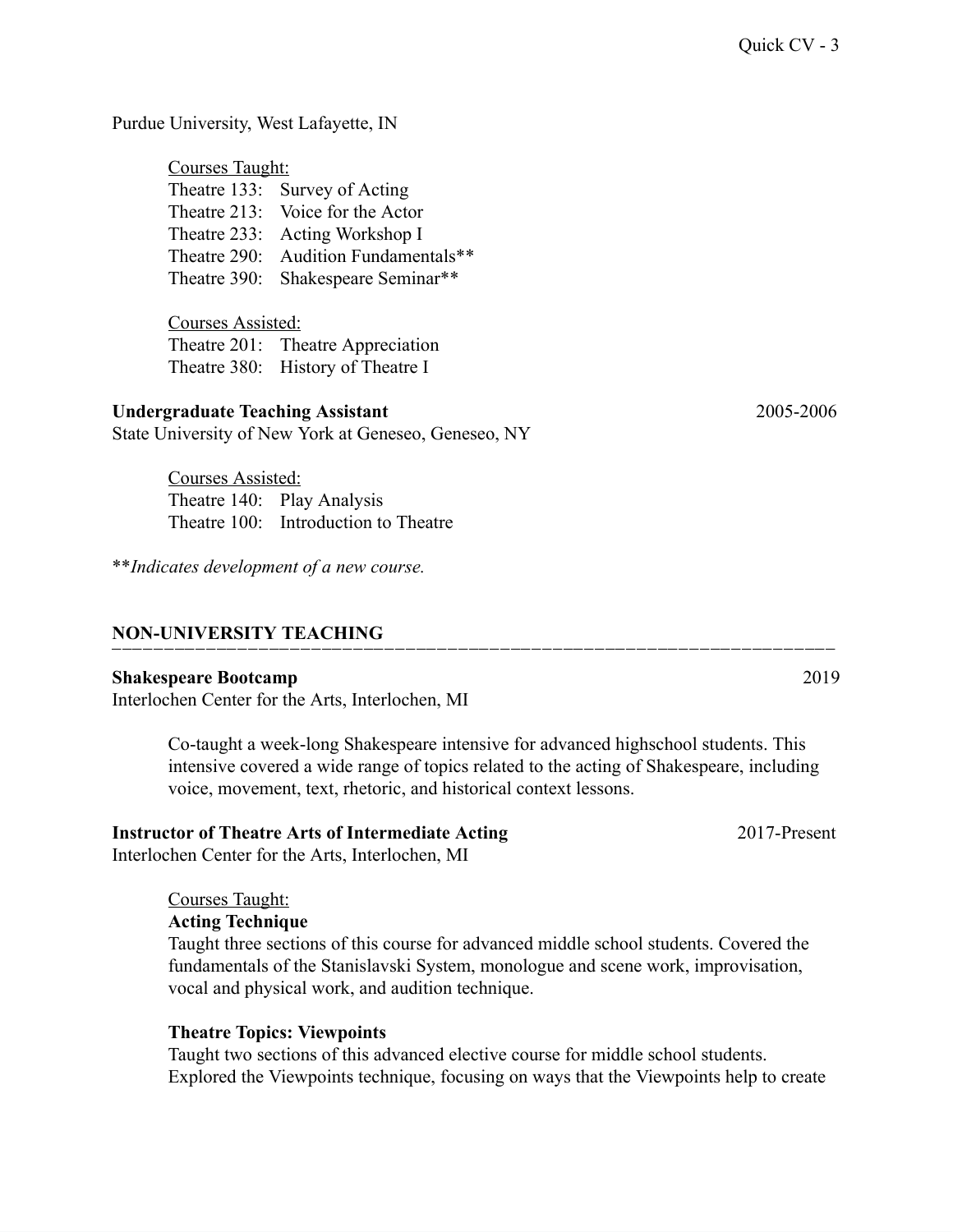Purdue University, West Lafayette, IN

| <b>Courses Taught:</b> |                                      |
|------------------------|--------------------------------------|
|                        | Theatre 133: Survey of Acting        |
|                        | Theatre 213: Voice for the Actor     |
|                        | Theatre 233: Acting Workshop I       |
|                        | Theatre 290: Audition Fundamentals** |
|                        | Theatre 390: Shakespeare Seminar**   |

Courses Assisted: Theatre 201: Theatre Appreciation Theatre 380: History of Theatre I

#### **Undergraduate Teaching Assistant** 2005-2006

State University of New York at Geneseo, Geneseo, NY

Courses Assisted: Theatre 140: Play Analysis Theatre 100: Introduction to Theatre

\*\**Indicates development of a new course.*

#### **NON-UNIVERSITY TEACHING**

#### **Shakespeare Bootcamp** 2019

Interlochen Center for the Arts, Interlochen, MI

Co-taught a week-long Shakespeare intensive for advanced highschool students. This intensive covered a wide range of topics related to the acting of Shakespeare, including voice, movement, text, rhetoric, and historical context lessons.

⎺⎺⎺⎺⎺⎺⎺⎺⎺⎺⎺⎺⎺⎺⎺⎺⎺⎺⎺⎺⎺⎺⎺⎺⎺⎺⎺⎺⎺⎺⎺⎺⎺⎺⎺⎺⎺⎺⎺⎺⎺⎺⎺⎺⎺⎺⎺⎺⎺⎺⎺⎺⎺⎺⎺⎺⎺⎺⎺⎺⎺⎺⎺⎺⎺⎺⎺⎺⎺

### **Instructor of Theatre Arts of Intermediate Acting** 2017-Present

Interlochen Center for the Arts, Interlochen, MI

#### Courses Taught:

#### **Acting Technique**

Taught three sections of this course for advanced middle school students. Covered the fundamentals of the Stanislavski System, monologue and scene work, improvisation, vocal and physical work, and audition technique.

#### **Theatre Topics: Viewpoints**

Taught two sections of this advanced elective course for middle school students. Explored the Viewpoints technique, focusing on ways that the Viewpoints help to create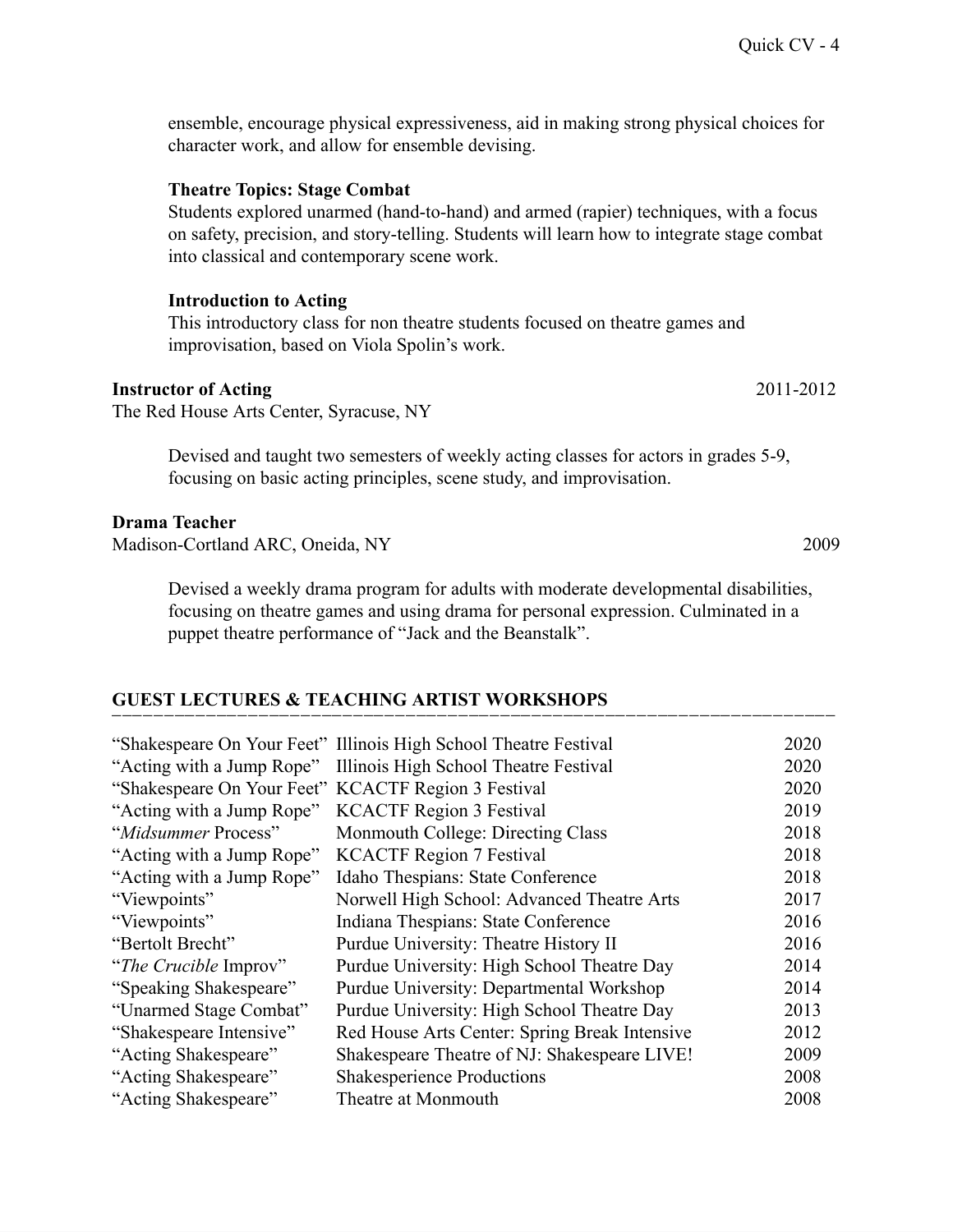ensemble, encourage physical expressiveness, aid in making strong physical choices for character work, and allow for ensemble devising.

#### **Theatre Topics: Stage Combat**

Students explored unarmed (hand-to-hand) and armed (rapier) techniques, with a focus on safety, precision, and story-telling. Students will learn how to integrate stage combat into classical and contemporary scene work.

#### **Introduction to Acting**

This introductory class for non theatre students focused on theatre games and improvisation, based on Viola Spolin's work.

#### **Instructor of Acting** 2011-2012

The Red House Arts Center, Syracuse, NY

Devised and taught two semesters of weekly acting classes for actors in grades 5-9, focusing on basic acting principles, scene study, and improvisation.

#### **Drama Teacher**

Madison-Cortland ARC, Oneida, NY 2009

Devised a weekly drama program for adults with moderate developmental disabilities, focusing on theatre games and using drama for personal expression. Culminated in a puppet theatre performance of "Jack and the Beanstalk".

#### **GUEST LECTURES & TEACHING ARTIST WORKSHOPS**

|                                                     | "Shakespeare On Your Feet" Illinois High School Theatre Festival | 2020 |
|-----------------------------------------------------|------------------------------------------------------------------|------|
|                                                     | "Acting with a Jump Rope" Illinois High School Theatre Festival  | 2020 |
| "Shakespeare On Your Feet" KCACTF Region 3 Festival |                                                                  | 2020 |
| "Acting with a Jump Rope" KCACTF Region 3 Festival  |                                                                  | 2019 |
| "Midsummer Process"                                 | Monmouth College: Directing Class                                | 2018 |
| "Acting with a Jump Rope" KCACTF Region 7 Festival  |                                                                  | 2018 |
| "Acting with a Jump Rope"                           | Idaho Thespians: State Conference                                | 2018 |
| "Viewpoints"                                        | Norwell High School: Advanced Theatre Arts                       | 2017 |
| "Viewpoints"                                        | Indiana Thespians: State Conference                              | 2016 |
| "Bertolt Brecht"                                    | Purdue University: Theatre History II                            | 2016 |
| "The Crucible Improv"                               | Purdue University: High School Theatre Day                       | 2014 |
| "Speaking Shakespeare"                              | Purdue University: Departmental Workshop                         | 2014 |
| "Unarmed Stage Combat"                              | Purdue University: High School Theatre Day                       | 2013 |
| "Shakespeare Intensive"                             | Red House Arts Center: Spring Break Intensive                    | 2012 |
| "Acting Shakespeare"                                | Shakespeare Theatre of NJ: Shakespeare LIVE!                     | 2009 |
| "Acting Shakespeare"                                | <b>Shakesperience Productions</b>                                | 2008 |
| "Acting Shakespeare"                                | Theatre at Monmouth                                              | 2008 |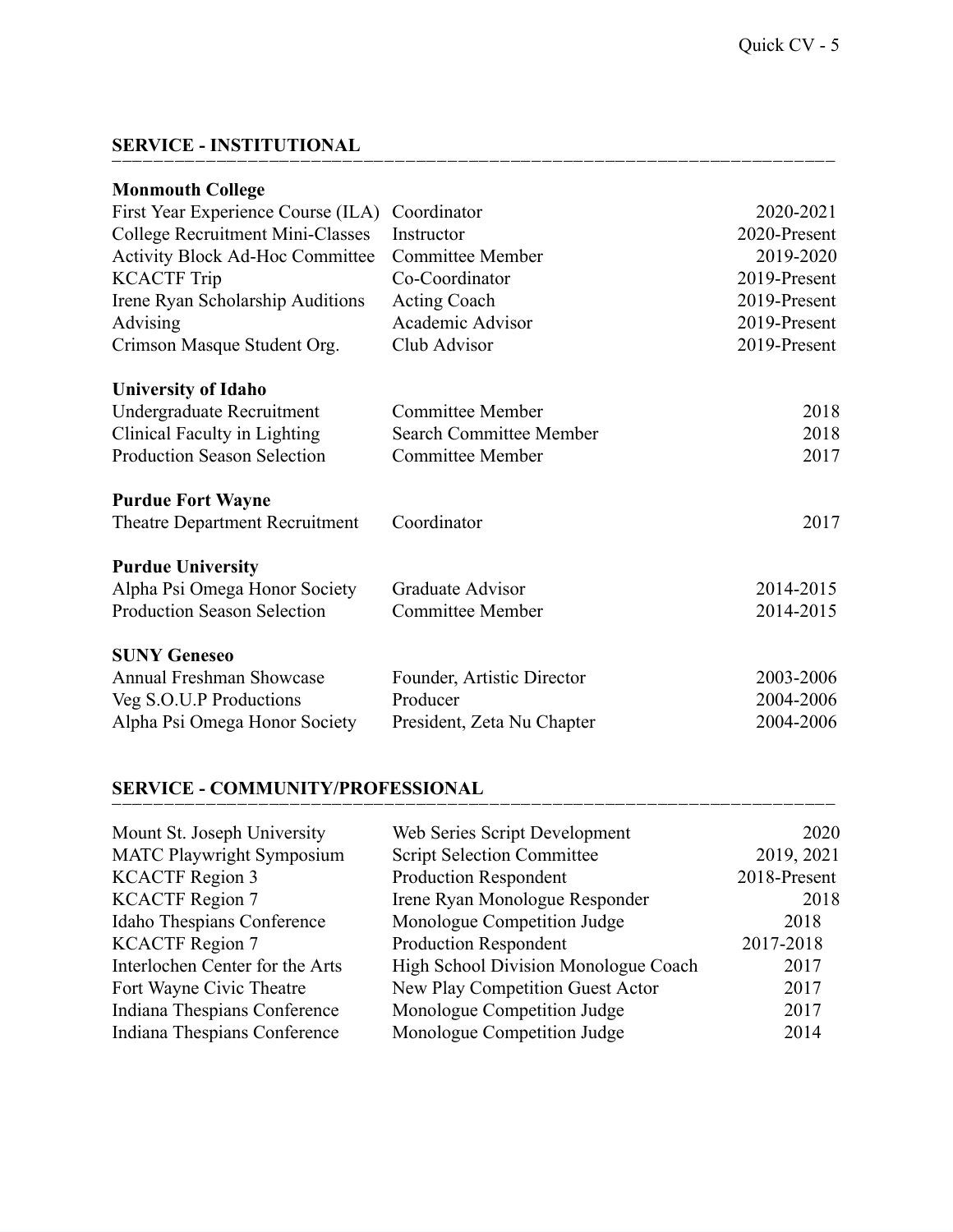### **SERVICE - INSTITUTIONAL**

| <b>Monmouth College</b>                |                            |              |
|----------------------------------------|----------------------------|--------------|
| First Year Experience Course (ILA)     | Coordinator                | 2020-2021    |
| College Recruitment Mini-Classes       | Instructor                 | 2020-Present |
| <b>Activity Block Ad-Hoc Committee</b> | <b>Committee Member</b>    | 2019-2020    |
| <b>KCACTF Trip</b>                     | Co-Coordinator             | 2019-Present |
| Irene Ryan Scholarship Auditions       | Acting Coach               | 2019-Present |
| Advising                               | Academic Advisor           | 2019-Present |
| Crimson Masque Student Org.            | Club Advisor               | 2019-Present |
| <b>University of Idaho</b>             |                            |              |
| Undergraduate Recruitment              | <b>Committee Member</b>    | 2018         |
| Clinical Faculty in Lighting           | Search Committee Member    | 2018         |
| <b>Production Season Selection</b>     | <b>Committee Member</b>    | 2017         |
| <b>Purdue Fort Wayne</b>               |                            |              |
| Theatre Department Recruitment         | Coordinator                | 2017         |
| <b>Purdue University</b>               |                            |              |
| Alpha Psi Omega Honor Society          | Graduate Advisor           | 2014-2015    |
| <b>Production Season Selection</b>     | <b>Committee Member</b>    | 2014-2015    |
| <b>SUNY Geneseo</b>                    |                            |              |
| <b>Annual Freshman Showcase</b>        | Founder, Artistic Director | 2003-2006    |
| Veg S.O.U.P Productions                | Producer                   | 2004-2006    |
| Alpha Psi Omega Honor Society          | President, Zeta Nu Chapter | 2004-2006    |
|                                        |                            |              |

⎺⎺⎺⎺⎺⎺⎺⎺⎺⎺⎺⎺⎺⎺⎺⎺⎺⎺⎺⎺⎺⎺⎺⎺⎺⎺⎺⎺⎺⎺⎺⎺⎺⎺⎺⎺⎺⎺⎺⎺⎺⎺⎺⎺⎺⎺⎺⎺⎺⎺⎺⎺⎺⎺⎺⎺⎺⎺⎺⎺⎺⎺⎺⎺⎺⎺⎺⎺⎺

### **SERVICE - COMMUNITY/PROFESSIONAL**

| Mount St. Joseph University      | Web Series Script Development        | 2020         |
|----------------------------------|--------------------------------------|--------------|
| <b>MATC Playwright Symposium</b> | <b>Script Selection Committee</b>    | 2019, 2021   |
| <b>KCACTF Region 3</b>           | <b>Production Respondent</b>         | 2018-Present |
| <b>KCACTF Region 7</b>           | Irene Ryan Monologue Responder       | 2018         |
| Idaho Thespians Conference       | Monologue Competition Judge          | 2018         |
| <b>KCACTF Region 7</b>           | <b>Production Respondent</b>         | 2017-2018    |
| Interlochen Center for the Arts  | High School Division Monologue Coach | 2017         |
| Fort Wayne Civic Theatre         | New Play Competition Guest Actor     | 2017         |
| Indiana Thespians Conference     | Monologue Competition Judge          | 2017         |
| Indiana Thespians Conference     | Monologue Competition Judge          | 2014         |
|                                  |                                      |              |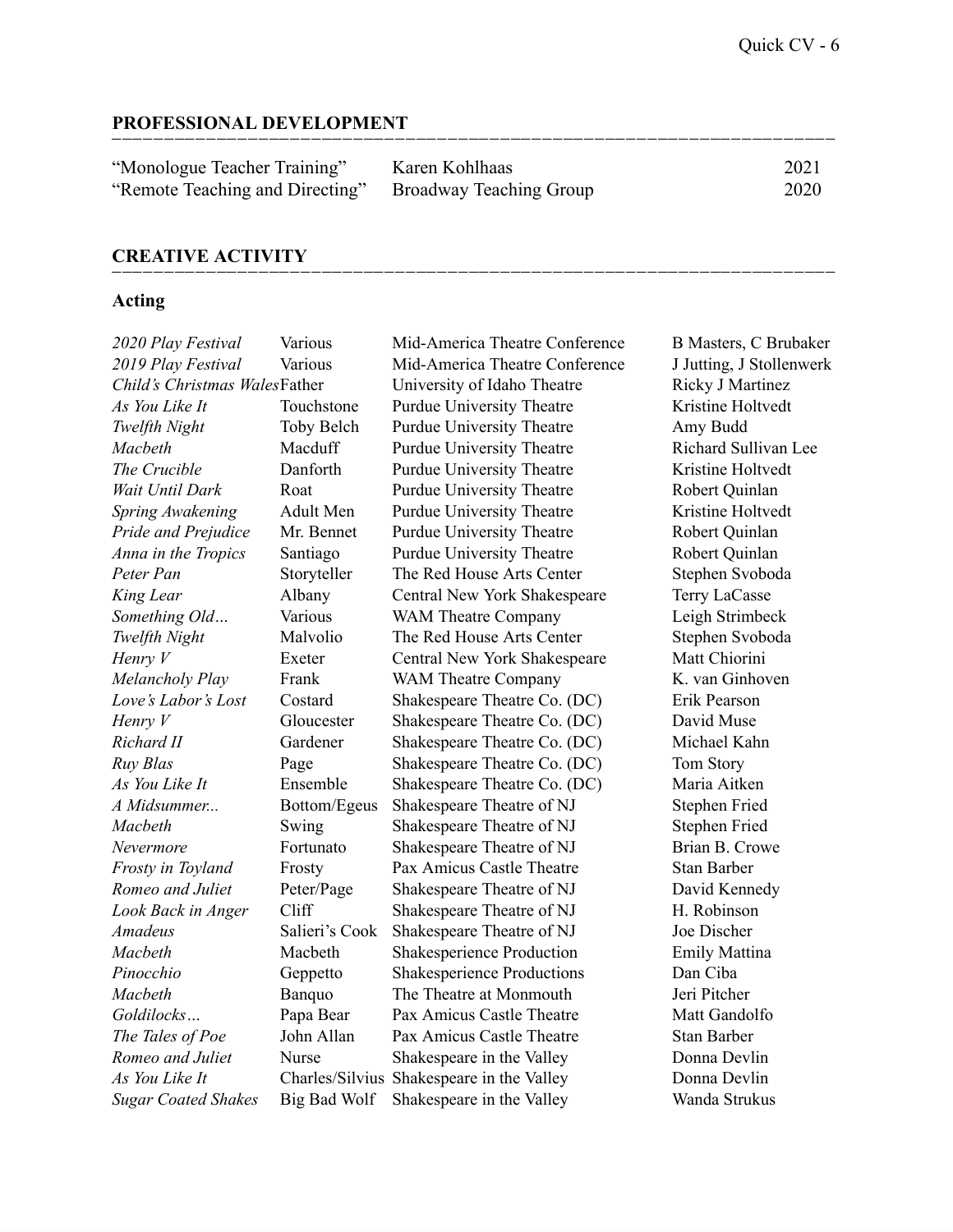#### **PROFESSIONAL DEVELOPMENT**

| "Monologue Teacher Training"                            | Karen Kohlhaas | 2021 |
|---------------------------------------------------------|----------------|------|
| "Remote Teaching and Directing" Broadway Teaching Group |                | 2020 |

⎺⎺⎺⎺⎺⎺⎺⎺⎺⎺⎺⎺⎺⎺⎺⎺⎺⎺⎺⎺⎺⎺⎺⎺⎺⎺⎺⎺⎺⎺⎺⎺⎺⎺⎺⎺⎺⎺⎺⎺⎺⎺⎺⎺⎺⎺⎺⎺⎺⎺⎺⎺⎺⎺⎺⎺⎺⎺⎺⎺⎺⎺⎺⎺⎺⎺⎺⎺⎺

#### **CREATIVE ACTIVITY**

#### **Acting**

| 2020 Play Festival            | Various           |
|-------------------------------|-------------------|
| 2019 Play Festival            | Various           |
| Child's Christmas WalesFather |                   |
| As You Like It                | Touchstone        |
| Twelfth Night                 | Toby Belch        |
| Macbeth                       | Macduff           |
| The Crucible                  | Danforth          |
| Wait Until Dark               | Roat              |
| Spring Awakening              | Adult Men         |
| Pride and Prejudice           | Mr. Bennet        |
| Anna in the Tropics           | Santiago          |
| Peter Pan                     | Storyteller       |
| King Lear                     | Albany            |
| Something Old                 | Various           |
| Twelfth Night                 | Malvolio          |
| Henry V                       | Exeter            |
| Melancholy Play               | Frank             |
| Love's Labor's Lost           | Costard           |
| Henry V                       | Gloucester        |
| Richard II                    | Gardener          |
| Ruy Blas                      | Page              |
| As You Like It                | Ensemble          |
| A Midsummer                   | Bottom/Ege        |
| Macbeth                       | Swing             |
| Nevermore                     | Fortunato         |
| Frosty in Toyland             | Frosty            |
| Romeo and Juliet              | Peter/Page        |
| Look Back in Anger            | Cliff             |
| Amadeus                       | Salieri's Coo     |
| Macbeth                       | Macbeth           |
| Pinocchio                     | Geppetto          |
| Macbeth                       | Banquo            |
| Goldilocks                    | Papa Bear         |
| The Tales of Poe              | John Allan        |
| Romeo and Juliet              | Nurse             |
| As You Like It                | Charles/Silv      |
| <b>Sugar Coated Shakes</b>    | <b>Big Bad Wo</b> |

*2020 Playable Mid-America Theatre Conference* B Masters, C Brubaker *2019 Playable Mid-America Theatre Conference* J Jutting, J Stollenwerk *Childrensity of Idaho Theatre Ricky J Martinez* **Purdue University Theatre Kristine Holtvedt** Purdue University Theatre **Amy Budd** Purdue University Theatre **Machard Sullivan Lee Purdue University Theatre Kristine Holtvedt Purdue University Theatre Robert Quinlan Purdue University Theatre Kristine Holtvedt Purdue University Theatre Robert Quinlan Purdue University Theatre <b>Robert Quinlan Pheno Red House Arts Center** Stephen Svoboda **Central New York Shakespeare Terry LaCasse** WAM Theatre Company **Leigh Strimbeck The Red House Arts Center Stephen Svoboda Central New York Shakespeare Matt Chiorini WAM Theatre Company** *Playa* **Playing K. van Ginhoven LoveTheatre Co. (DC)** Erik Pearson **Shakespeare Theatre Co. (DC)** David Muse *Richardarda Pheatre Co. (DC)* Michael Kahn *Ruy* **Blackespeare Theatre Co. (DC) Tom Story** *As Z Maria Aitken Zoupeare Theatre Co. (DC)* Maria Aitken **A** *Midden Shakespeare Theatre of NJ Stephen Fried* **Shakespeare Theatre of NJ** Stephen Fried **Shakespeare Theatre of NJ** Brian B. Crowe **Frame** Pax Amicus Castle Theatre Stan Barber **Shakespeare Theatre of NJ** David Kennedy **Look** *Back Back Back Back Back Back Back Back Back Back Back Back Back* **<b>***Back Back Back Back Back Back Back Back Back Back Back* **Amadeus** Shakespeare Theatre of NJ Joe Discher **Shakesperience Production** Emily Mattina **Pinch** Shakesperience Productions Dan Ciba The Theatre at Monmouth **Jeri Pitcher** Pax Amicus Castle Theatre Matt Gandolfo **Pax Amicus Castle Theatre Stan Barber** *Romeonia Romeonics and Augusta Bulley <i>Augusta Donna Devlin Donna Devlin As Z Zius* Shakespeare in the Valley Donna Devlin *Shakespeare in the Valley* Wanda Strukus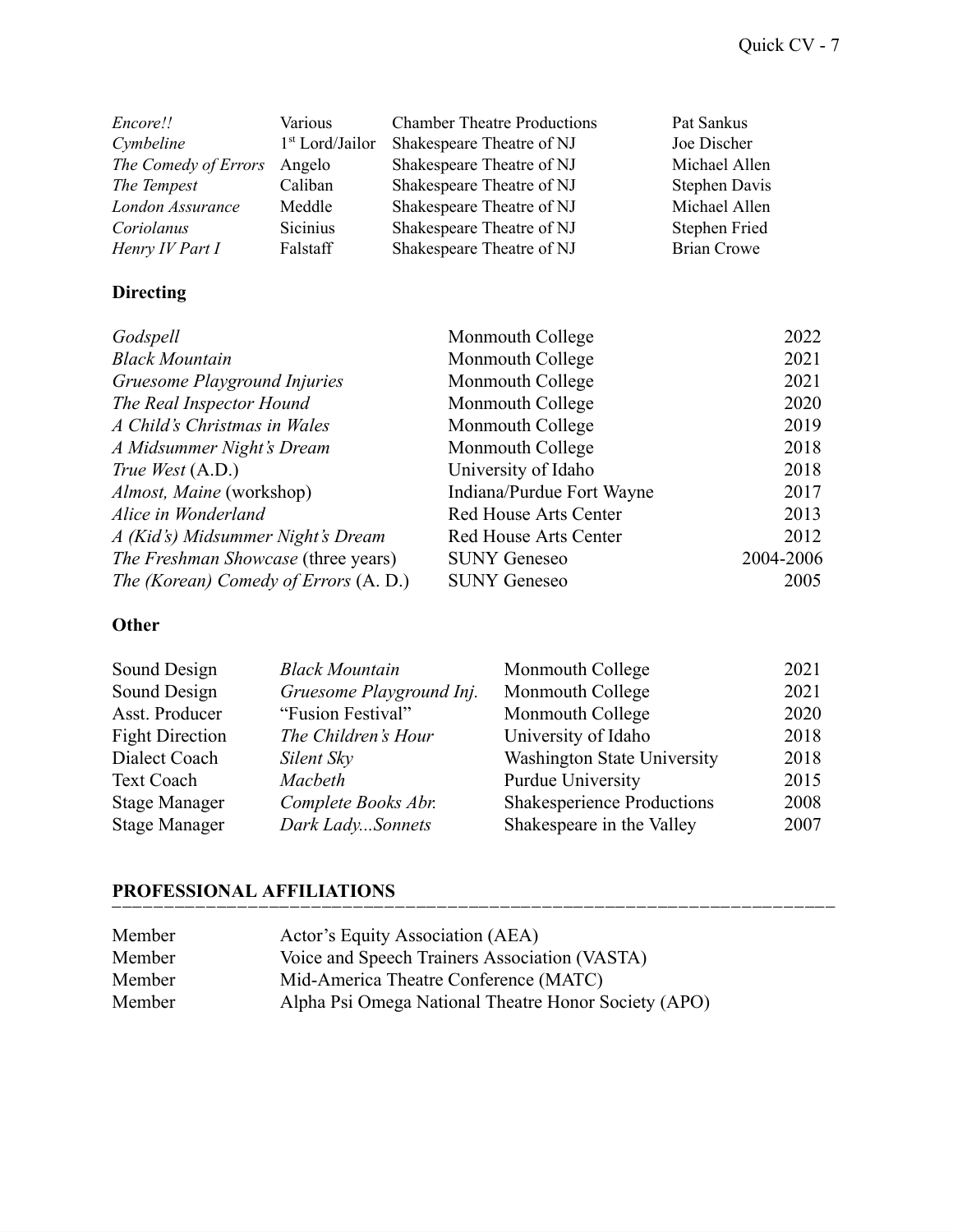| Encore!!             | Various           | <b>Chamber Theatre Productions</b> | Pat Sankus           |
|----------------------|-------------------|------------------------------------|----------------------|
| Cymbeline            | $1st$ Lord/Jailor | Shakespeare Theatre of NJ          | Joe Discher          |
| The Comedy of Errors | Angelo            | Shakespeare Theatre of NJ          | Michael Allen        |
| The Tempest          | Caliban           | Shakespeare Theatre of NJ          | <b>Stephen Davis</b> |
| London Assurance     | Meddle            | Shakespeare Theatre of NJ          | Michael Allen        |
| Coriolanus           | Sicinius          | Shakespeare Theatre of NJ          | <b>Stephen Fried</b> |
| Henry IV Part I      | Falstaff          | Shakespeare Theatre of NJ          | <b>Brian Crowe</b>   |

## **Directing**

| Godspell                              | Monmouth College             | 2022      |
|---------------------------------------|------------------------------|-----------|
| <b>Black Mountain</b>                 | Monmouth College             | 2021      |
| Gruesome Playground Injuries          | Monmouth College             | 2021      |
| The Real Inspector Hound              | Monmouth College             | 2020      |
| A Child's Christmas in Wales          | Monmouth College             | 2019      |
| A Midsummer Night's Dream             | Monmouth College             | 2018      |
| True West (A.D.)                      | University of Idaho          | 2018      |
| Almost, Maine (workshop)              | Indiana/Purdue Fort Wayne    | 2017      |
| Alice in Wonderland                   | <b>Red House Arts Center</b> | 2013      |
| A (Kid's) Midsummer Night's Dream     | <b>Red House Arts Center</b> | 2012      |
| The Freshman Showcase (three years)   | <b>SUNY Geneseo</b>          | 2004-2006 |
| The (Korean) Comedy of Errors (A. D.) | <b>SUNY Geneseo</b>          | 2005      |

### **Other**

| Sound Design           | <b>Black Mountain</b>    | Monmouth College                   | 2021 |
|------------------------|--------------------------|------------------------------------|------|
| Sound Design           | Gruesome Playground Inj. | Monmouth College                   | 2021 |
| Asst. Producer         | "Fusion Festival"        | Monmouth College                   | 2020 |
| <b>Fight Direction</b> | The Children's Hour      | University of Idaho                | 2018 |
| Dialect Coach          | Silent Sky               | <b>Washington State University</b> | 2018 |
| <b>Text Coach</b>      | Macbeth                  | Purdue University                  | 2015 |
| <b>Stage Manager</b>   | Complete Books Abr.      | <b>Shakesperience Productions</b>  | 2008 |
| <b>Stage Manager</b>   | Dark LadySonnets         | Shakespeare in the Valley          | 2007 |

### **PROFESSIONAL AFFILIATIONS**

| Member | Actor's Equity Association (AEA)                     |  |
|--------|------------------------------------------------------|--|
| Member | Voice and Speech Trainers Association (VASTA)        |  |
| Member | Mid-America Theatre Conference (MATC)                |  |
| Member | Alpha Psi Omega National Theatre Honor Society (APO) |  |